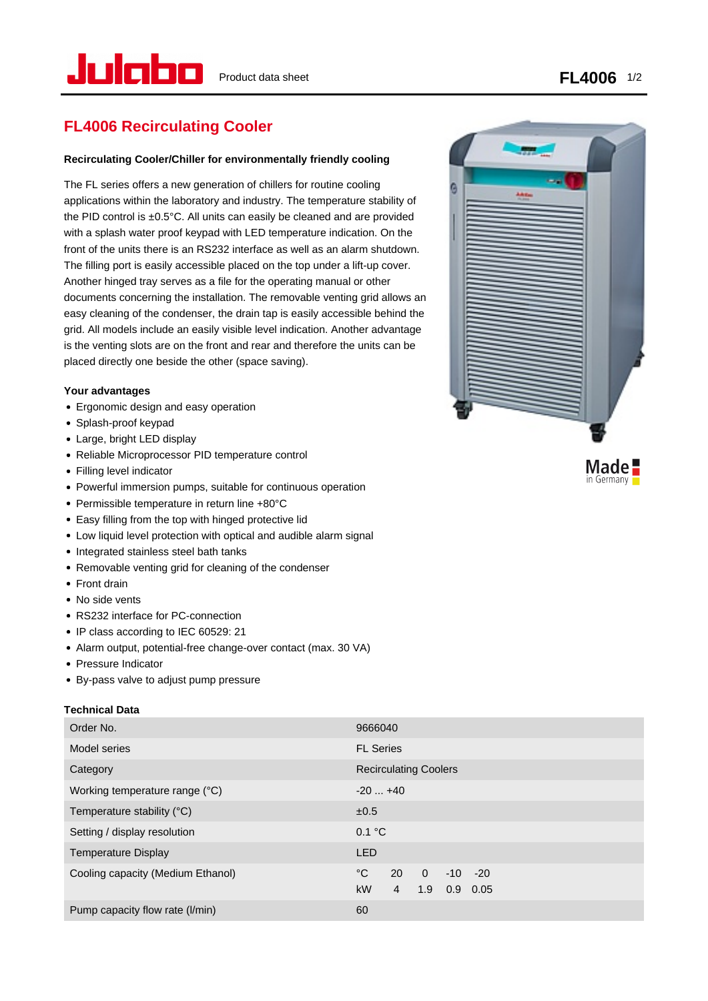# **FL4006 Recirculating Cooler**

#### **Recirculating Cooler/Chiller for environmentally friendly cooling**

The FL series offers a new generation of chillers for routine cooling applications within the laboratory and industry. The temperature stability of the PID control is ±0.5°C. All units can easily be cleaned and are provided with a splash water proof keypad with LED temperature indication. On the front of the units there is an RS232 interface as well as an alarm shutdown. The filling port is easily accessible placed on the top under a lift-up cover. Another hinged tray serves as a file for the operating manual or other documents concerning the installation. The removable venting grid allows an easy cleaning of the condenser, the drain tap is easily accessible behind the grid. All models include an easily visible level indication. Another advantage is the venting slots are on the front and rear and therefore the units can be placed directly one beside the other (space saving).

#### **Your advantages**

- Ergonomic design and easy operation
- Splash-proof keypad
- Large, bright LED display
- Reliable Microprocessor PID temperature control
- Filling level indicator
- Powerful immersion pumps, suitable for continuous operation
- Permissible temperature in return line +80°C
- Easy filling from the top with hinged protective lid
- Low liquid level protection with optical and audible alarm signal
- Integrated stainless steel bath tanks
- Removable venting grid for cleaning of the condenser
- Front drain
- No side vents
- RS232 interface for PC-connection
- IP class according to IEC 60529: 21
- Alarm output, potential-free change-over contact (max. 30 VA)
- Pressure Indicator
- By-pass valve to adjust pump pressure

#### **Technical Data**

| Order No.                         | 9666040                                                                            |
|-----------------------------------|------------------------------------------------------------------------------------|
| <b>Model series</b>               | <b>FL Series</b>                                                                   |
| Category                          | <b>Recirculating Coolers</b>                                                       |
| Working temperature range (°C)    | $-20+40$                                                                           |
| Temperature stability (°C)        | ±0.5                                                                               |
| Setting / display resolution      | 0.1 °C                                                                             |
| <b>Temperature Display</b>        | <b>LED</b>                                                                         |
| Cooling capacity (Medium Ethanol) | °C<br>20<br>$\Omega$<br>$-10 - 20$<br><b>kW</b><br>$\sqrt{4}$<br>1.9<br>$0.9$ 0.05 |
| Pump capacity flow rate (I/min)   | 60                                                                                 |



Made $\blacksquare$ in Germany